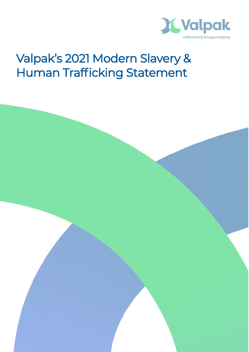

# Valpak's 2021 Modern Slavery & Human Trafficking Statement

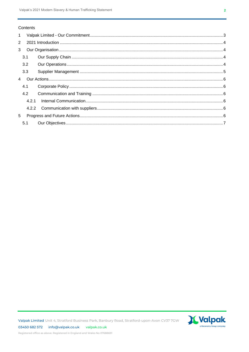### Contents

| $\mathbf{1}$   |       |  |  |
|----------------|-------|--|--|
| 2              |       |  |  |
| 3              |       |  |  |
|                | 3.1   |  |  |
|                | 3.2   |  |  |
|                | 3.3   |  |  |
| $\overline{4}$ |       |  |  |
|                | 4.1   |  |  |
|                | 4.2   |  |  |
|                | 4.2.1 |  |  |
|                |       |  |  |
| 5              |       |  |  |
|                | 5.1   |  |  |

Valpak Limited Unit 4, Stratford Business Park, Banbury Road, Stratford-upon-Avon CV37 7GW

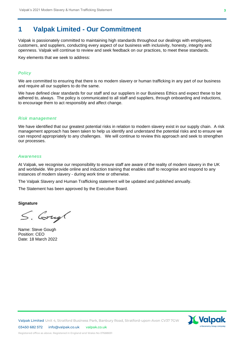# **1 Valpak Limited - Our Commitment**

Valpak is passionately committed to maintaining high standards throughout our dealings with employees, customers, and suppliers, conducting every aspect of our business with inclusivity, honesty, integrity and openness. Valpak will continue to review and seek feedback on our practices, to meet these standards.

Key elements that we seek to address:

## *Policy*

We are committed to ensuring that there is no modern slavery or human trafficking in any part of our business and require all our suppliers to do the same.

We have defined clear standards for our staff and our suppliers in our Business Ethics and expect these to be adhered to, always. The policy is communicated to all staff and suppliers, through onboarding and inductions, to encourage them to act responsibly and affect change.

#### *Risk management*

We have identified that our greatest potential risks in relation to modern slavery exist in our supply chain. A risk management approach has been taken to help us identify and understand the potential risks and to ensure we can respond appropriately to any challenges. We will continue to review this approach and seek to strengthen our processes.

#### *Awareness*

At Valpak, we recognise our responsibility to ensure staff are aware of the reality of modern slavery in the UK and worldwide. We provide online and induction training that enables staff to recognise and respond to any instances of modern slavery - during work time or otherwise.

The Valpak Slavery and Human Trafficking statement will be updated and published annually.

The Statement has been approved by the Executive Board.

#### **Signature**

S. Cough

Name: Steve Gough Position: CEO Date: 18 March 2022

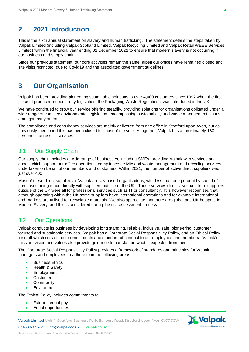# **2 2021 Introduction**

This is the sixth annual statement on slavery and human trafficking. The statement details the steps taken by Valpak Limited (including Valpak Scotland Limited, Valpak Recycling Limited and Valpak Retail WEEE Services Limited) within the financial year ending 31 December 2021 to ensure that modern slavery is not occurring in our business and supply chain.

Since our previous statement, our core activities remain the same, albeit our offices have remained closed and site visits restricted, due to Covid19 and the associated government guidelines.

# **3 Our Organisation**

Valpak has been providing pioneering sustainable solutions to over 4,000 customers since 1997 when the first piece of producer responsibility legislation, the Packaging Waste Regulations, was introduced in the UK.

We have continued to grow our service offering steadily, providing solutions for organisations obligated under a wide range of complex environmental legislation, encompassing sustainability and waste management issues amongst many others.

The compliance and consultancy services are mainly delivered from one office in Stratford upon Avon, but as previously mentioned this has been closed for most of the year. Altogether, Valpak has approximately 180 personnel, across all services.

## 3.1 Our Supply Chain

Our supply chain includes a wide range of businesses, including SMEs, providing Valpak with services and goods which support our office operations, compliance activity and waste management and recycling services undertaken on behalf of our members and customers. Within 2021, the number of active direct suppliers was just over 400.

Most of these direct suppliers to Valpak are UK based organisations, with less than one percent by spend of purchases being made directly with suppliers outside of the UK. Those services directly sourced from suppliers outside of the UK were all for professional services such as IT or consultancy. It is however recognised that although operating within the UK some suppliers have international operations and for example international end-markets are utilised for recyclable materials. We also appreciate that there are global and UK hotspots for Modern Slavery, and this is considered during the risk assessment process.

## 3.2 Our Operations

Valpak conducts its business by developing long standing, reliable, inclusive, safe, pioneering, customer focused and sustainable services. Valpak has a Corporate Social Responsibility Policy, and an Ethical Policy for staff which sets out our commitments and standard of conduct to our employees and members. Valpak's mission, vision and values also provide guidance to our staff on what is expected from then.

The Corporate Social Responsibility Policy provides a framework of standards and principles for Valpak managers and employees to adhere to in the following areas:

- **Business Ethics**
- Health & Safety
- **Employment**
- Customer
- **Community**
- **Environment**

The Ethical Policy includes commitments to:

- Fair and equal pay
- Equal opportunities

Valpak Limited Unit 4, Stratford Business Park, Banbury Road, Stratford-upon-Avon CV37 7GW



03450 682 572 info@valpak.co.uk valpak.co.uk

Registered office as above. Registered in England and Wales No 07688691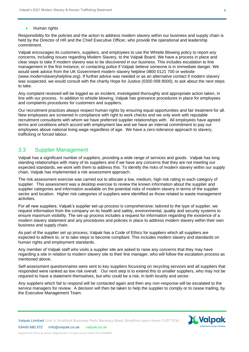#### • Human rights

Responsibility for the policies and the action to address modern slavery within our business and supply chain is held by the Director of HR and the Chief Executive Officer, who provide the operational and leadership commitment.

Valpak encourages its customers, suppliers, and employees to use the Whistle Blowing policy to report any concerns, including issues regarding Modern Slavery, to the Valpak Board. We have a process in place and clear steps to take if modern slavery was to be discovered in our business. This includes escalation to line management in the first instance, or contacting police if Valpak believe someone is in immediate danger. We would seek advice from the UK Government modern slavery helpline 0800 0121 700 or website (www.modernslaveryhelpline.org). If further advice was needed or as an alternative contact if modern slavery was suspected, we would consult with the charity Hope for Justice (0300 008 8000), to ask about the next steps to take.

Any complaint received will be logged as an incident, investigated thoroughly and appropriate action taken, in line with our process. In addition to whistle blowing, Valpak has grievance procedures in place for employees and complaints procedures for customers and suppliers.

Our recruitment practices always respect human rights by ensuring equal opportunities and fair treatment for all. New employees are screened in compliance with right to work checks and we only work with reputable recruitment consultants with whom we have preferred supplier relationships with. All employees have agreed terms and conditions which accord with employment law and we have an internal commitment to pay our employees above national living wage regardless of age. We have a zero-tolerance approach to slavery, trafficking or forced labour.

## 3.3 Supplier Management

Valpak has a significant number of suppliers, providing a wide range of services and goods. Valpak has long standing relationships with many of its suppliers and if we have any concerns that they are not meeting our expected standards, we work with them to address this. To identify the risks of modern slavery within our supply chain, Valpak has implemented a risk assessment approach.

The risk assessment exercise was carried out to allocate a low, medium, high risk rating to each category of supplier. This assessment was a desktop exercise to review the known information about the supplier and supplier categories and information available on the potential risks of modern slavery in terms of the supplier sector and location. Higher risk categories of suppliers were identified as those related to waste management activities.

For all new suppliers, Valpak's supplier set-up process is comprehensive; tailored to the type of supplier, we request information from the company on its health and safety, environmental, quality and security systems to ensure maximum visibility. The set-up process includes a request for information regarding the existence of a modern slavery statement and any procedures and policies in place to address modern slavery within their own business and supply chain.

As part of the supplier set up process, Valpak has a Code of Ethics for suppliers which all suppliers are expected to adhere to, or to take steps to become compliant. This includes modern slavery and standards on human rights and employment standards.

Any member of Valpak staff who visits a supplier site are asked to raise any concerns that they may have regarding a site in relation to modern slavery site to their line manager, who will follow the escalation process as mentioned above.

Self-assessment questionnaires were sent to key suppliers focussing on recycling services and all suppliers that responded were ranked as low risk overall. Our next step is to extend this to smaller suppliers, who may not be required to have a statement themselves, but who could be a risk, in both locality and sector.

Any suppliers which fail to respond will be contacted again and then any non-response will be escalated to the service managers for review. A decision will then be taken to help the supplier to comply or to cease trading, by the Executive Management Team.



03450 682 572 info@valpak.co.uk valpak.co.uk

Registered office as above. Registered in England and Wales No 07688691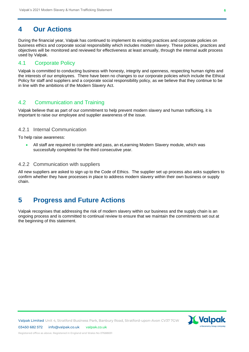# **4 Our Actions**

During the financial year, Valpak has continued to implement its existing practices and corporate policies on business ethics and corporate social responsibility which includes modern slavery. These policies, practices and objectives will be monitored and reviewed for effectiveness at least annually, through the internal audit process used by Valpak.

## 4.1 Corporate Policy

Valpak is committed to conducting business with honesty, integrity and openness, respecting human rights and the interests of our employees. There have been no changes to our corporate policies which include the Ethical Policy for staff and suppliers and a corporate social responsibility policy, as we believe that they continue to be in line with the ambitions of the Modern Slavery Act.

## 4.2 Communication and Training

Valpak believe that as part of our commitment to help prevent modern slavery and human trafficking, it is important to raise our employee and supplier awareness of the issue.

## 4.2.1 Internal Communication

To help raise awareness:

• All staff are required to complete and pass, an eLearning Modern Slavery module, which was successfully completed for the third consecutive year.

### 4.2.2 Communication with suppliers

All new suppliers are asked to sign up to the Code of Ethics. The supplier set up process also asks suppliers to confirm whether they have processes in place to address modern slavery within their own business or supply chain.

# **5 Progress and Future Actions**

Valpak recognises that addressing the risk of modern slavery within our business and the supply chain is an ongoing process and is committed to continual review to ensure that we maintain the commitments set out at the beginning of this statement.

03450 682 572 info@valpak.co.uk valpak.co.uk